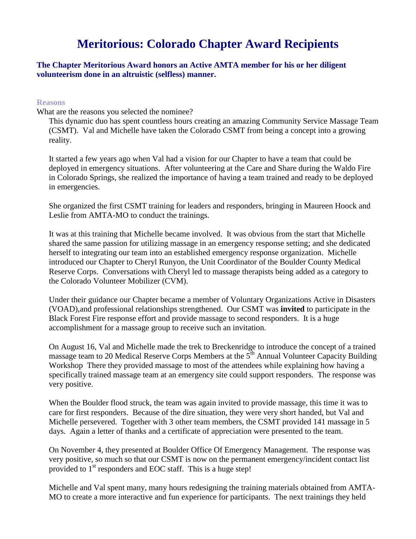## **Meritorious: Colorado Chapter Award Recipients**

## **The Chapter Meritorious Award honors an Active AMTA member for his or her diligent volunteerism done in an altruistic (selfless) manner.**

## **Reasons**

What are the reasons you selected the nominee?

This dynamic duo has spent countless hours creating an amazing Community Service Massage Team (CSMT). Val and Michelle have taken the Colorado CSMT from being a concept into a growing reality.

It started a few years ago when Val had a vision for our Chapter to have a team that could be deployed in emergency situations. After volunteering at the Care and Share during the Waldo Fire in Colorado Springs, she realized the importance of having a team trained and ready to be deployed in emergencies.

She organized the first CSMT training for leaders and responders, bringing in Maureen Hoock and Leslie from AMTA-MO to conduct the trainings.

It was at this training that Michelle became involved. It was obvious from the start that Michelle shared the same passion for utilizing massage in an emergency response setting; and she dedicated herself to integrating our team into an established emergency response organization. Michelle introduced our Chapter to Cheryl Runyon, the Unit Coordinator of the Boulder County Medical Reserve Corps. Conversations with Cheryl led to massage therapists being added as a category to the Colorado Volunteer Mobilizer (CVM).

Under their guidance our Chapter became a member of Voluntary Organizations Active in Disasters (VOAD),and professional relationships strengthened. Our CSMT was **invited** to participate in the Black Forest Fire response effort and provide massage to second responders. It is a huge accomplishment for a massage group to receive such an invitation.

On August 16, Val and Michelle made the trek to Breckenridge to introduce the concept of a trained massage team to 20 Medical Reserve Corps Members at the  $5<sup>th</sup>$  Annual Volunteer Capacity Building Workshop There they provided massage to most of the attendees while explaining how having a specifically trained massage team at an emergency site could support responders. The response was very positive.

When the Boulder flood struck, the team was again invited to provide massage, this time it was to care for first responders. Because of the dire situation, they were very short handed, but Val and Michelle persevered. Together with 3 other team members, the CSMT provided 141 massage in 5 days. Again a letter of thanks and a certificate of appreciation were presented to the team.

On November 4, they presented at Boulder Office Of Emergency Management. The response was very positive, so much so that our CSMT is now on the permanent emergency/incident contact list provided to 1<sup>st</sup> responders and EOC staff. This is a huge step!

Michelle and Val spent many, many hours redesigning the training materials obtained from AMTA-MO to create a more interactive and fun experience for participants. The next trainings they held